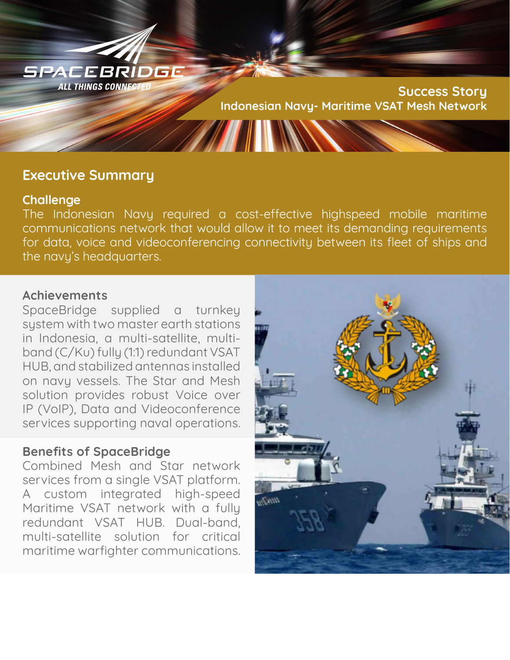

# **Executive Summary**

### **Challenge**

The Indonesian Navy required a cost-effective highspeed mobile maritime communications network that would allow it to meet its demanding requirements for data, voice and videoconferencing connectivity between its fleet of ships and the navy's headquarters.

## **Achievements**

SpaceBridge supplied a turnkey system with two master earth stations in Indonesia, a multi-satellite, multiband (C/Ku) fully (1:1) redundant VSAT HUB, and stabilized antennas installed on navy vessels. The Star and Mesh solution provides robust Voice over IP (VoIP), Data and Videoconference services supporting naval operations.

## **Benefits of SpaceBridge**

Combined Mesh and Star network services from a single VSAT platform. A custom integrated high-speed Maritime VSAT network with a fully redundant VSAT HUB. Dual-band, multi-satellite solution for critical maritime warfighter communications.